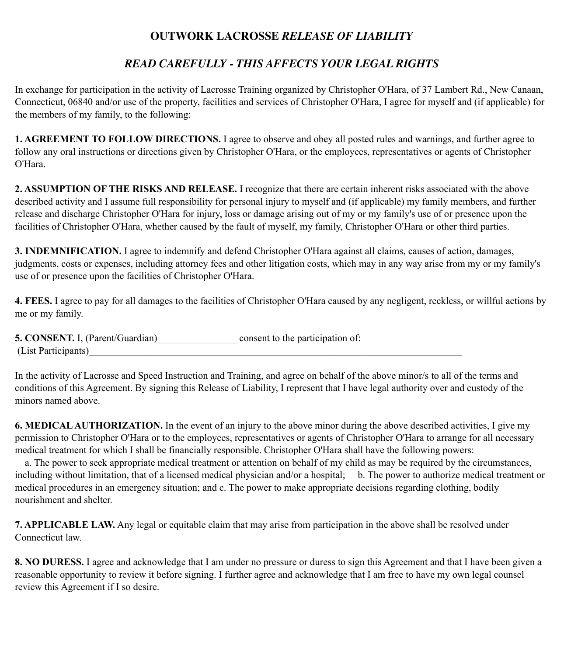## **OUTWORK LACROSSE** *RELEASE OF LIABILITY*

## *READ CAREFULLY - THIS AFFECTS YOUR LEGAL RIGHTS*

In exchange for participation in the activity of Lacrosse Training organized by Christopher O'Hara, of 37 Lambert Rd., New Canaan, Connecticut, 06840 and/or use of the property, facilities and services of Christopher O'Hara, I agree for myself and (if applicable) for the members of my family, to the following:

**1. AGREEMENT TO FOLLOW DIRECTIONS.** I agree to observe and obey all posted rules and warnings, and further agree to follow any oral instructions or directions given by Christopher O'Hara, or the employees, representatives or agents of Christopher O'Hara.

**2. ASSUMPTION OF THE RISKS AND RELEASE.** I recognize that there are certain inherent risks associated with the above described activity and I assume full responsibility for personal injury to myself and (if applicable) my family members, and further release and discharge Christopher O'Hara for injury, loss or damage arising out of my or my family's use of or presence upon the facilities of Christopher O'Hara, whether caused by the fault of myself, my family, Christopher O'Hara or other third parties.

**3. INDEMNIFICATION.** I agree to indemnify and defend Christopher O'Hara against all claims, causes of action, damages, judgments, costs or expenses, including attorney fees and other litigation costs, which may in any way arise from my or my family's use of or presence upon the facilities of Christopher O'Hara.

**4. FEES.** I agree to pay for all damages to the facilities of Christopher O'Hara caused by any negligent, reckless, or willful actions by me or my family.

| <b>5. CONSENT.</b> I, (Parent/Guardian) | consent to the participation of: |
|-----------------------------------------|----------------------------------|
| (List Participants)                     |                                  |

In the activity of Lacrosse and Speed Instruction and Training, and agree on behalf of the above minor/s to all of the terms and conditions of this Agreement. By signing this Release of Liability, I represent that I have legal authority over and custody of the minors named above.

**6. MEDICAL AUTHORIZATION.** In the event of an injury to the above minor during the above described activities, I give my permission to Christopher O'Hara or to the employees, representatives or agents of Christopher O'Hara to arrange for all necessary medical treatment for which I shall be financially responsible. Christopher O'Hara shall have the following powers:

 a. The power to seek appropriate medical treatment or attention on behalf of my child as may be required by the circumstances, including without limitation, that of a licensed medical physician and/or a hospital; b. The power to authorize medical treatment or medical procedures in an emergency situation; and c. The power to make appropriate decisions regarding clothing, bodily nourishment and shelter.

**7. APPLICABLE LAW.** Any legal or equitable claim that may arise from participation in the above shall be resolved under Connecticut law.

**8. NO DURESS.** I agree and acknowledge that I am under no pressure or duress to sign this Agreement and that I have been given a reasonable opportunity to review it before signing. I further agree and acknowledge that I am free to have my own legal counsel review this Agreement if I so desire.